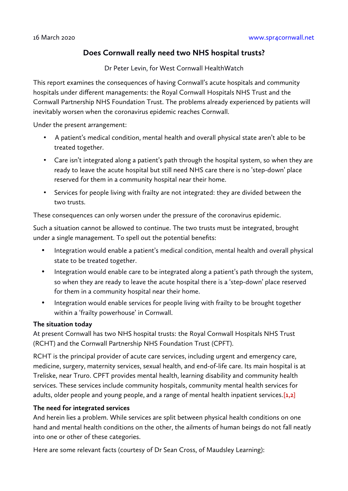## **Does Cornwall really need two NHS hospital trusts?**

Dr Peter Levin, for West Cornwall HealthWatch

This report examines the consequences of having Cornwall's acute hospitals and community hospitals under different managements: the Royal Cornwall Hospitals NHS Trust and the Cornwall Partnership NHS Foundation Trust. The problems already experienced by patients will inevitably worsen when the coronavirus epidemic reaches Cornwall.

Under the present arrangement:

- A patient's medical condition, mental health and overall physical state aren't able to be treated together.
- Care isn't integrated along a patient's path through the hospital system, so when they are ready to leave the acute hospital but still need NHS care there is no 'step-down' place reserved for them in a community hospital near their home.
- Services for people living with frailty are not integrated: they are divided between the two trusts.

These consequences can only worsen under the pressure of the coronavirus epidemic.

Such a situation cannot be allowed to continue. The two trusts must be integrated, brought under a single management. To spell out the potential benefits:

- Integration would enable a patient's medical condition, mental health and overall physical state to be treated together.
- Integration would enable care to be integrated along a patient's path through the system, so when they are ready to leave the acute hospital there is a 'step-down' place reserved for them in a community hospital near their home.
- Integration would enable services for people living with frailty to be brought together within a 'frailty powerhouse' in Cornwall.

#### **The situation today**

At present Cornwall has two NHS hospital trusts: the Royal Cornwall Hospitals NHS Trust (RCHT) and the Cornwall Partnership NHS Foundation Trust (CPFT).

RCHT is the principal provider of acute care services, including urgent and emergency care, medicine, surgery, maternity services, sexual health, and end-of-life care. Its main hospital is at Treliske, near Truro. CPFT provides mental health, learning disability and community health services. These services include community hospitals, community mental health services for adults, older people and young people, and a range of mental health inpatient services.**[1,2]**

## **The need for integrated services**

And herein lies a problem. While services are split between physical health conditions on one hand and mental health conditions on the other, the ailments of human beings do not fall neatly into one or other of these categories.

Here are some relevant facts (courtesy of Dr Sean Cross, of Maudsley Learning):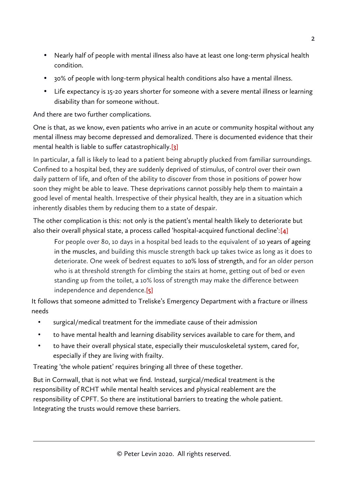- Nearly half of people with mental illness also have at least one long-term physical health condition.
- 30% of people with long-term physical health conditions also have a mental illness.
- Life expectancy is 15-20 years shorter for someone with a severe mental illness or learning disability than for someone without.

And there are two further complications.

One is that, as we know, even patients who arrive in an acute or community hospital without any mental illness may become depressed and demoralized. There is documented evidence that their mental health is liable to suffer catastrophically.**[3]**

In particular, a fall is likely to lead to a patient being abruptly plucked from familiar surroundings. Confined to a hospital bed, they are suddenly deprived of stimulus, of control over their own daily pattern of life, and often of the ability to discover from those in positions of power how soon they might be able to leave. These deprivations cannot possibly help them to maintain a good level of mental health. Irrespective of their physical health, they are in a situation which inherently disables them by reducing them to a state of despair.

The other complication is this: not only is the patient's mental health likely to deteriorate but also their overall physical state, a process called 'hospital-acquired functional decline':**[4]**

For people over 80, 10 days in a hospital bed leads to the equivalent of [10 years of ageing](http://biomedgerontology.oxfordjournals.org/content/59/7/M755.full.pdf+html)  [in the muscles,](http://biomedgerontology.oxfordjournals.org/content/59/7/M755.full.pdf+html) and building this muscle strength back up takes twice as long as it does to deteriorate. One week of bedrest equates to [10% loss of strength,](https://www.researchgate.net/profile/Laurence_Rubenstein/publication/21163966_Hospital-Associated_Deconditioning_and_Dysfunction/links/0fcfd50ca2a91b35ca000000.pdf) and for an older person who is at threshold strength for climbing the stairs at home, getting out of bed or even standing up from the toilet, a 10% loss of strength may make the difference between independence and dependence.**[5]**

It follows that someone admitted to Treliske's Emergency Department with a fracture or illness needs

- surgical/medical treatment for the immediate cause of their admission
- to have mental health and learning disability services available to care for them, and
- to have their overall physical state, especially their musculoskeletal system, cared for, especially if they are living with frailty.

Treating 'the whole patient' requires bringing all three of these together.

But in Cornwall, that is not what we find. Instead, surgical/medical treatment is the responsibility of RCHT while mental health services and physical reablement are the responsibility of CPFT. So there are institutional barriers to treating the whole patient. Integrating the trusts would remove these barriers.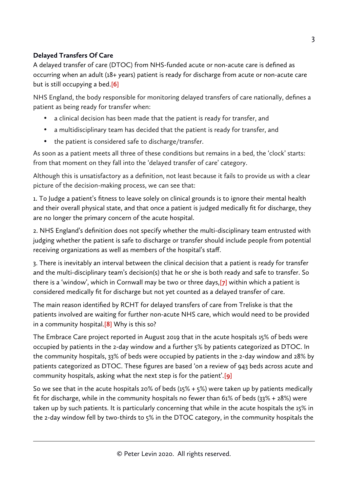### **Delayed Transfers Of Care**

A delayed transfer of care (DTOC) from NHS-funded acute or non-acute care is defined as occurring when an adult (18+ years) patient is ready for discharge from acute or non-acute care but is still occupying a bed.**[6]** 

NHS England, the body responsible for monitoring delayed transfers of care nationally, defines a patient as being ready for transfer when:

- a clinical decision has been made that the patient is ready for transfer, and
- a multidisciplinary team has decided that the patient is ready for transfer, and
- the patient is considered safe to discharge/transfer.

As soon as a patient meets all three of these conditions but remains in a bed, the 'clock' starts: from that moment on they fall into the 'delayed transfer of care' category.

Although this is unsatisfactory as a definition, not least because it fails to provide us with a clear picture of the decision-making process, we can see that:

1. To Judge a patient's fitness to leave solely on clinical grounds is to ignore their mental health and their overall physical state, and that once a patient is judged medically fit for discharge, they are no longer the primary concern of the acute hospital.

2. NHS England's definition does not specify whether the multi-disciplinary team entrusted with judging whether the patient is safe to discharge or transfer should include people from potential receiving organizations as well as members of the hospital's staff.

3. There is inevitably an interval between the clinical decision that a patient is ready for transfer and the multi-disciplinary team's decision(s) that he or she is both ready and safe to transfer. So there is a 'window', which in Cornwall may be two or three days,**[7]** within which a patient is considered medically fit for discharge but not yet counted as a delayed transfer of care.

The main reason identified by RCHT for delayed transfers of care from Treliske is that the patients involved are waiting for further non-acute NHS care, which would need to be provided in a community hospital.**[8]** Why is this so?

The Embrace Care project reported in August 2019 that in the acute hospitals 15% of beds were occupied by patients in the 2-day window and a further 5% by patients categorized as DTOC. In the community hospitals, 33% of beds were occupied by patients in the 2-day window and 28% by patients categorized as DTOC. These figures are based 'on a review of 943 beds across acute and community hospitals, asking what the next step is for the patient'.**[9]**

So we see that in the acute hospitals 20% of beds  $(15% + 5%)$  were taken up by patients medically fit for discharge, while in the community hospitals no fewer than 61% of beds ( $33\% + 28\%$ ) were taken up by such patients. It is particularly concerning that while in the acute hospitals the 15% in the 2-day window fell by two-thirds to 5% in the DTOC category, in the community hospitals the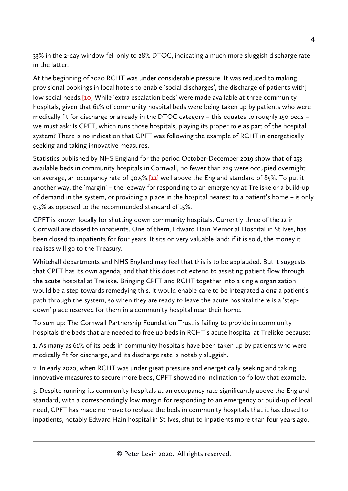33% in the 2-day window fell only to 28% DTOC, indicating a much more sluggish discharge rate in the latter.

At the beginning of 2020 RCHT was under considerable pressure. It was reduced to making provisional bookings in local hotels to enable 'social discharges', the discharge of patients with] low social needs.**[10]** While 'extra escalation beds' were made available at three community hospitals, given that 61% of community hospital beds were being taken up by patients who were medically fit for discharge or already in the DTOC category – this equates to roughly 150 beds – we must ask: Is CPFT, which runs those hospitals, playing its proper role as part of the hospital system? There is no indication that CPFT was following the example of RCHT in energetically seeking and taking innovative measures.

Statistics published by NHS England for the period October-December 2019 show that of 253 available beds in community hospitals in Cornwall, no fewer than 229 were occupied overnight on average, an occupancy rate of 90.5%,**[11]** well above the England standard of 85%. To put it another way, the 'margin' – the leeway for responding to an emergency at Treliske or a build-up of demand in the system, or providing a place in the hospital nearest to a patient's home – is only 9.5% as opposed to the recommended standard of 15%.

CPFT is known locally for shutting down community hospitals. Currently three of the 12 in Cornwall are closed to inpatients. One of them, Edward Hain Memorial Hospital in St Ives, has been closed to inpatients for four years. It sits on very valuable land: if it is sold, the money it realises will go to the Treasury.

Whitehall departments and NHS England may feel that this is to be applauded. But it suggests that CPFT has its own agenda, and that this does not extend to assisting patient flow through the acute hospital at Treliske. Bringing CPFT and RCHT together into a single organization would be a step towards remedying this. It would enable care to be integrated along a patient's path through the system, so when they are ready to leave the acute hospital there is a 'stepdown' place reserved for them in a community hospital near their home.

To sum up: The Cornwall Partnership Foundation Trust is failing to provide in community hospitals the beds that are needed to free up beds in RCHT's acute hospital at Treliske because:

1. As many as 61% of its beds in community hospitals have been taken up by patients who were medically fit for discharge, and its discharge rate is notably sluggish.

2. In early 2020, when RCHT was under great pressure and energetically seeking and taking innovative measures to secure more beds, CPFT showed no inclination to follow that example.

3. Despite running its community hospitals at an occupancy rate significantly above the England standard, with a correspondingly low margin for responding to an emergency or build-up of local need, CPFT has made no move to replace the beds in community hospitals that it has closed to inpatients, notably Edward Hain hospital in St Ives, shut to inpatients more than four years ago.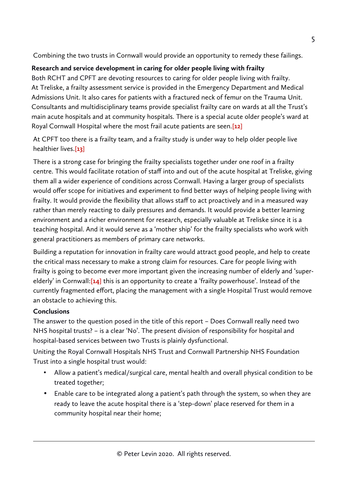Combining the two trusts in Cornwall would provide an opportunity to remedy these failings.

# **Research and service development in caring for older people living with frailty**

Both RCHT and CPFT are devoting resources to caring for older people living with frailty. At Treliske, a frailty assessment service is provided in the Emergency Department and Medical Admissions Unit. It also cares for patients with a fractured neck of femur on the Trauma Unit. Consultants and multidisciplinary teams provide specialist frailty care on wards at all the Trust's main acute hospitals and at community hospitals. There is a special acute older people's ward at Royal Cornwall Hospital where the most frail acute patients are seen.**[12]**

At CPFT too there is a frailty team, and a frailty study is under way to help older people live healthier lives.**[13]**

There is a strong case for bringing the frailty specialists together under one roof in a frailty centre. This would facilitate rotation of staff into and out of the acute hospital at Treliske, giving them all a wider experience of conditions across Cornwall. Having a larger group of specialists would offer scope for initiatives and experiment to find better ways of helping people living with frailty. It would provide the flexibility that allows staff to act proactively and in a measured way rather than merely reacting to daily pressures and demands. It would provide a better learning environment and a richer environment for research, especially valuable at Treliske since it is a teaching hospital. And it would serve as a 'mother ship' for the frailty specialists who work with general practitioners as members of primary care networks.

Building a reputation for innovation in frailty care would attract good people, and help to create the critical mass necessary to make a strong claim for resources. Care for people living with frailty is going to become ever more important given the increasing number of elderly and 'superelderly' in Cornwall:**[14]** this is an opportunity to create a 'frailty powerhouse'. Instead of the currently fragmented effort, placing the management with a single Hospital Trust would remove an obstacle to achieving this.

## **Conclusions**

The answer to the question posed in the title of this report – Does Cornwall really need two NHS hospital trusts? – is a clear 'No'. The present division of responsibility for hospital and hospital-based services between two Trusts is plainly dysfunctional.

Uniting the Royal Cornwall Hospitals NHS Trust and Cornwall Partnership NHS Foundation Trust into a single hospital trust would:

- Allow a patient's medical/surgical care, mental health and overall physical condition to be treated together;
- Enable care to be integrated along a patient's path through the system, so when they are ready to leave the acute hospital there is a 'step-down' place reserved for them in a community hospital near their home;